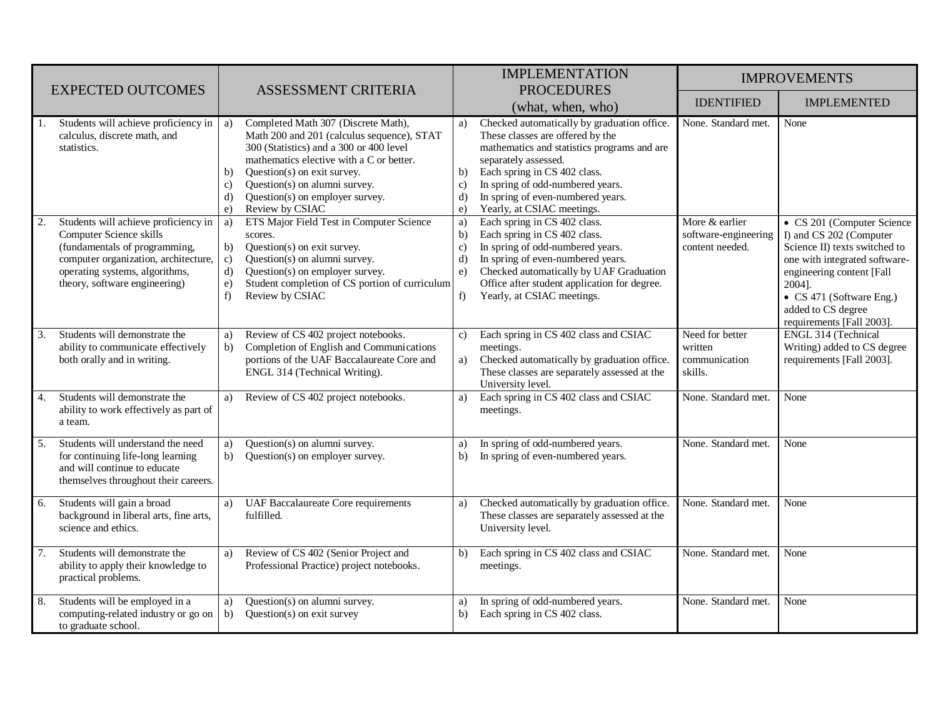|                                                                                                                                                                                                                   |                                                                                                                                                                                                                                                                                                                                            | <b>IMPLEMENTATION</b>                                                                                                                                                                                                                                                                                                                                     | <b>IMPROVEMENTS</b>                                       |                                                                                                                                                                                                                                               |
|-------------------------------------------------------------------------------------------------------------------------------------------------------------------------------------------------------------------|--------------------------------------------------------------------------------------------------------------------------------------------------------------------------------------------------------------------------------------------------------------------------------------------------------------------------------------------|-----------------------------------------------------------------------------------------------------------------------------------------------------------------------------------------------------------------------------------------------------------------------------------------------------------------------------------------------------------|-----------------------------------------------------------|-----------------------------------------------------------------------------------------------------------------------------------------------------------------------------------------------------------------------------------------------|
| <b>EXPECTED OUTCOMES</b>                                                                                                                                                                                          | ASSESSMENT CRITERIA                                                                                                                                                                                                                                                                                                                        | <b>PROCEDURES</b><br>(what, when, who)                                                                                                                                                                                                                                                                                                                    | <b>IDENTIFIED</b>                                         | <b>IMPLEMENTED</b>                                                                                                                                                                                                                            |
| Students will achieve proficiency in $ a\rangle$<br>1.<br>calculus, discrete math, and<br>statistics.                                                                                                             | Completed Math 307 (Discrete Math),<br>Math 200 and 201 (calculus sequence), STAT<br>300 (Statistics) and a 300 or 400 level<br>mathematics elective with a C or better.<br>Question(s) on exit survey.<br>$\mathbf{b}$<br>Question(s) on alumni survey.<br>$\mathbf{c}$<br>Question(s) on employer survey.<br>d)<br>Review by CSIAC<br>e) | Checked automatically by graduation office.<br>a)<br>These classes are offered by the<br>mathematics and statistics programs and are<br>separately assessed.<br>Each spring in CS 402 class.<br>$\mathbf{b}$<br>In spring of odd-numbered years.<br>$\mathbf{c}$<br>In spring of even-numbered years.<br>$\mathbf{d}$<br>Yearly, at CSIAC meetings.<br>e) | None. Standard met.                                       | None                                                                                                                                                                                                                                          |
| Students will achieve proficiency in<br>2.<br>Computer Science skills<br>(fundamentals of programming,<br>computer organization, architecture,<br>operating systems, algorithms,<br>theory, software engineering) | ETS Major Field Test in Computer Science<br>a)<br>scores.<br>b)<br>Question(s) on exit survey.<br>Question(s) on alumni survey.<br>$\mathbf{c})$<br>$\mathbf{d}$<br>Question(s) on employer survey.<br>Student completion of CS portion of curriculum<br>e)<br>f)<br>Review by CSIAC                                                       | Each spring in CS 402 class.<br>a)<br>Each spring in CS 402 class.<br>b)<br>In spring of odd-numbered years.<br>c)<br>In spring of even-numbered years.<br>d)<br>Checked automatically by UAF Graduation<br>$\epsilon$ )<br>Office after student application for degree.<br>Yearly, at CSIAC meetings.<br>f                                               | More & earlier<br>software-engineering<br>content needed. | • CS 201 (Computer Science<br>I) and CS 202 (Computer<br>Science II) texts switched to<br>one with integrated software-<br>engineering content [Fall<br>2004].<br>• CS 471 (Software Eng.)<br>added to CS degree<br>requirements [Fall 2003]. |
| Students will demonstrate the<br>3.<br>ability to communicate effectively<br>both orally and in writing.                                                                                                          | Review of CS 402 project notebooks.<br>a)<br>Completion of English and Communications<br>b)<br>portions of the UAF Baccalaureate Core and<br>ENGL 314 (Technical Writing).                                                                                                                                                                 | Each spring in CS 402 class and CSIAC<br>$\mathbf{c}$ )<br>meetings.<br>Checked automatically by graduation office.<br>a)<br>These classes are separately assessed at the<br>University level.                                                                                                                                                            | Need for better<br>written<br>communication<br>skills.    | ENGL 314 (Technical<br>Writing) added to CS degree<br>requirements [Fall 2003].                                                                                                                                                               |
| Students will demonstrate the<br>4.<br>ability to work effectively as part of<br>a team.                                                                                                                          | Review of CS 402 project notebooks.<br>a)                                                                                                                                                                                                                                                                                                  | Each spring in CS 402 class and CSIAC<br>a)<br>meetings.                                                                                                                                                                                                                                                                                                  | None. Standard met.                                       | None                                                                                                                                                                                                                                          |
| Students will understand the need<br>5.<br>for continuing life-long learning<br>and will continue to educate<br>themselves throughout their careers.                                                              | Question(s) on alumni survey.<br>a)<br>Question(s) on employer survey.<br>b)                                                                                                                                                                                                                                                               | In spring of odd-numbered years.<br>a)<br>In spring of even-numbered years.<br>b)                                                                                                                                                                                                                                                                         | None. Standard met.                                       | None                                                                                                                                                                                                                                          |
| Students will gain a broad<br>6.<br>background in liberal arts, fine arts,<br>science and ethics.                                                                                                                 | <b>UAF Baccalaureate Core requirements</b><br>a)<br>fulfilled.                                                                                                                                                                                                                                                                             | Checked automatically by graduation office.<br>a)<br>These classes are separately assessed at the<br>University level.                                                                                                                                                                                                                                    | None. Standard met.                                       | None                                                                                                                                                                                                                                          |
| Students will demonstrate the<br>7.<br>ability to apply their knowledge to<br>practical problems.                                                                                                                 | Review of CS 402 (Senior Project and<br>a)<br>Professional Practice) project notebooks.                                                                                                                                                                                                                                                    | Each spring in CS 402 class and CSIAC<br>b)<br>meetings.                                                                                                                                                                                                                                                                                                  | None. Standard met.                                       | None                                                                                                                                                                                                                                          |
| Students will be employed in a<br>8.<br>computing-related industry or go on<br>to graduate school.                                                                                                                | Question(s) on alumni survey.<br>a)<br>Question(s) on exit survey<br>b)                                                                                                                                                                                                                                                                    | In spring of odd-numbered years.<br>a)<br>Each spring in CS 402 class.<br>$\mathbf{b}$                                                                                                                                                                                                                                                                    | None. Standard met.                                       | None                                                                                                                                                                                                                                          |